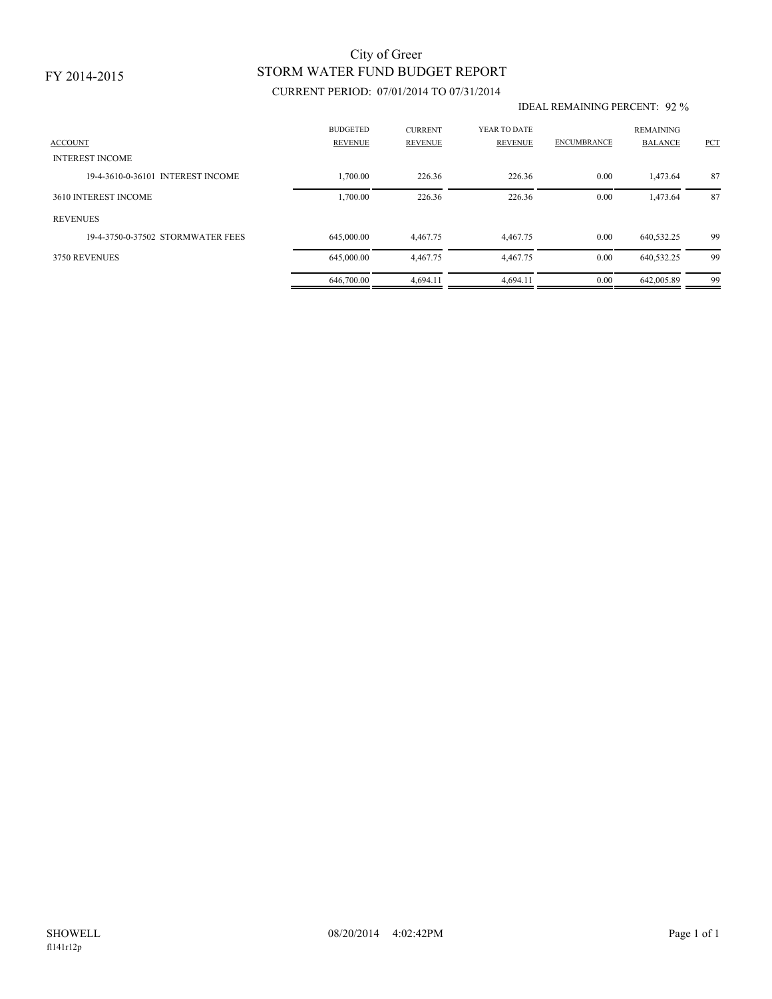### FY 2014-2015

## STORM WATER FUND BUDGET REPORT City of Greer

### CURRENT PERIOD: 07/01/2014 TO 07/31/2014

#### IDEAL REMAINING PERCENT: 92 %

| <b>ACCOUNT</b>                    | <b>BUDGETED</b><br><b>REVENUE</b> | <b>CURRENT</b><br><b>REVENUE</b> | YEAR TO DATE<br>REVENUE | <b>ENCUMBRANCE</b> | <b>REMAINING</b><br><b>BALANCE</b> | <b>PCT</b> |
|-----------------------------------|-----------------------------------|----------------------------------|-------------------------|--------------------|------------------------------------|------------|
| <b>INTEREST INCOME</b>            |                                   |                                  |                         |                    |                                    |            |
| 19-4-3610-0-36101 INTEREST INCOME | 1,700.00                          | 226.36                           | 226.36                  | 0.00               | 1,473.64                           | 87         |
| 3610 INTEREST INCOME              | 1,700.00                          | 226.36                           | 226.36                  | 0.00               | 1,473.64                           | 87         |
| <b>REVENUES</b>                   |                                   |                                  |                         |                    |                                    |            |
| 19-4-3750-0-37502 STORMWATER FEES | 645,000,00                        | 4.467.75                         | 4.467.75                | 0.00               | 640,532.25                         | 99         |
| 3750 REVENUES                     | 645,000.00                        | 4,467.75                         | 4,467.75                | 0.00               | 640,532.25                         | 99         |
|                                   | 646,700.00                        | 4,694.11                         | 4.694.11                | 0.00               | 642,005.89                         | 99         |